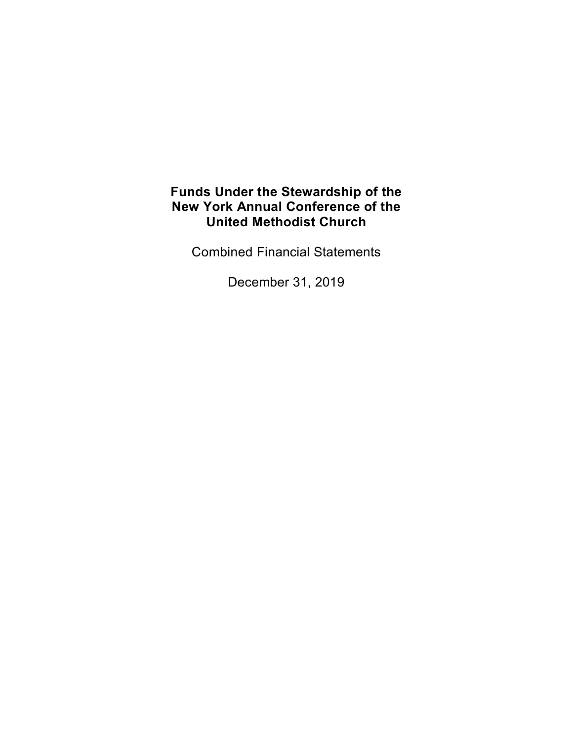Combined Financial Statements

December 31, 2019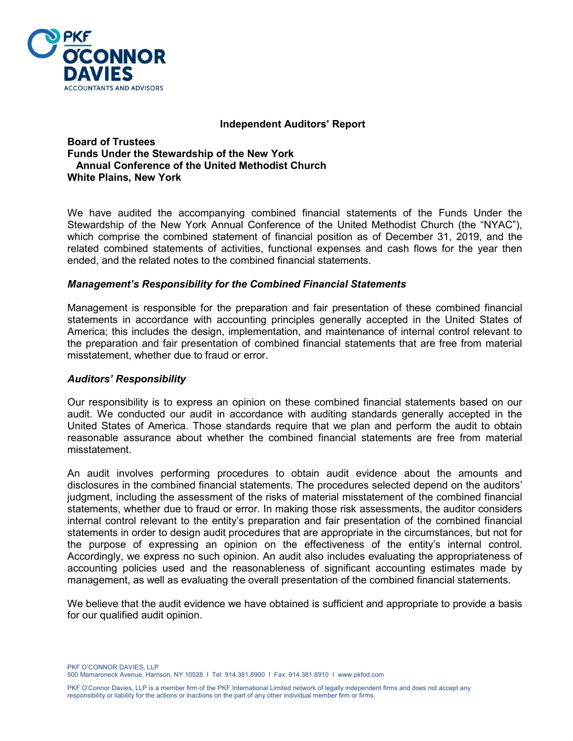

#### **Independent Auditors' Report**

#### **Board of Trustees Funds Under the Stewardship of the New York Annual Conference of the United Methodist Church White Plains, New York**

We have audited the accompanying combined financial statements of the Funds Under the Stewardship of the New York Annual Conference of the United Methodist Church (the "NYAC"), which comprise the combined statement of financial position as of December 31, 2019, and the related combined statements of activities, functional expenses and cash flows for the year then ended, and the related notes to the combined financial statements.

#### *Management's Responsibility for the Combined Financial Statements*

Management is responsible for the preparation and fair presentation of these combined financial statements in accordance with accounting principles generally accepted in the United States of America; this includes the design, implementation, and maintenance of internal control relevant to the preparation and fair presentation of combined financial statements that are free from material misstatement, whether due to fraud or error.

#### *Auditors' Responsibility*

Our responsibility is to express an opinion on these combined financial statements based on our audit. We conducted our audit in accordance with auditing standards generally accepted in the United States of America. Those standards require that we plan and perform the audit to obtain reasonable assurance about whether the combined financial statements are free from material misstatement.

An audit involves performing procedures to obtain audit evidence about the amounts and disclosures in the combined financial statements. The procedures selected depend on the auditors' judgment, including the assessment of the risks of material misstatement of the combined financial statements, whether due to fraud or error. In making those risk assessments, the auditor considers internal control relevant to the entity's preparation and fair presentation of the combined financial statements in order to design audit procedures that are appropriate in the circumstances, but not for the purpose of expressing an opinion on the effectiveness of the entity's internal control. Accordingly, we express no such opinion. An audit also includes evaluating the appropriateness of accounting policies used and the reasonableness of significant accounting estimates made by management, as well as evaluating the overall presentation of the combined financial statements.

We believe that the audit evidence we have obtained is sufficient and appropriate to provide a basis for our qualified audit opinion.

PKF O'CONNOR DAVIES, LLP 500 Mamaroneck Avenue, Harrison, NY 10528 I Tel: 914.381.8900 I Fax: 914.381.8910 I www.pkfod.com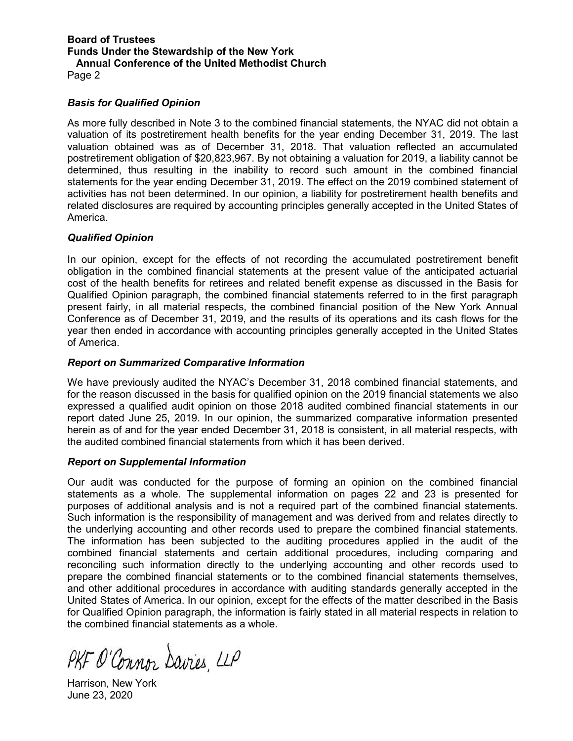Page 2

#### *Basis for Qualified Opinion*

As more fully described in Note 3 to the combined financial statements, the NYAC did not obtain a valuation of its postretirement health benefits for the year ending December 31, 2019. The last valuation obtained was as of December 31, 2018. That valuation reflected an accumulated postretirement obligation of \$20,823,967. By not obtaining a valuation for 2019, a liability cannot be determined, thus resulting in the inability to record such amount in the combined financial statements for the year ending December 31, 2019. The effect on the 2019 combined statement of activities has not been determined. In our opinion, a liability for postretirement health benefits and related disclosures are required by accounting principles generally accepted in the United States of America.

#### *Qualified Opinion*

In our opinion, except for the effects of not recording the accumulated postretirement benefit obligation in the combined financial statements at the present value of the anticipated actuarial cost of the health benefits for retirees and related benefit expense as discussed in the Basis for Qualified Opinion paragraph, the combined financial statements referred to in the first paragraph present fairly, in all material respects, the combined financial position of the New York Annual Conference as of December 31, 2019, and the results of its operations and its cash flows for the year then ended in accordance with accounting principles generally accepted in the United States of America.

#### *Report on Summarized Comparative Information*

We have previously audited the NYAC's December 31, 2018 combined financial statements, and for the reason discussed in the basis for qualified opinion on the 2019 financial statements we also expressed a qualified audit opinion on those 2018 audited combined financial statements in our report dated June 25, 2019. In our opinion, the summarized comparative information presented herein as of and for the year ended December 31, 2018 is consistent, in all material respects, with the audited combined financial statements from which it has been derived.

#### *Report on Supplemental Information*

Our audit was conducted for the purpose of forming an opinion on the combined financial statements as a whole. The supplemental information on pages 22 and 23 is presented for purposes of additional analysis and is not a required part of the combined financial statements. Such information is the responsibility of management and was derived from and relates directly to the underlying accounting and other records used to prepare the combined financial statements. The information has been subjected to the auditing procedures applied in the audit of the combined financial statements and certain additional procedures, including comparing and reconciling such information directly to the underlying accounting and other records used to prepare the combined financial statements or to the combined financial statements themselves, and other additional procedures in accordance with auditing standards generally accepted in the United States of America. In our opinion, except for the effects of the matter described in the Basis for Qualified Opinion paragraph, the information is fairly stated in all material respects in relation to the combined financial statements as a whole.

PKF O'Connor Davies, LLP

Harrison, New York June 23, 2020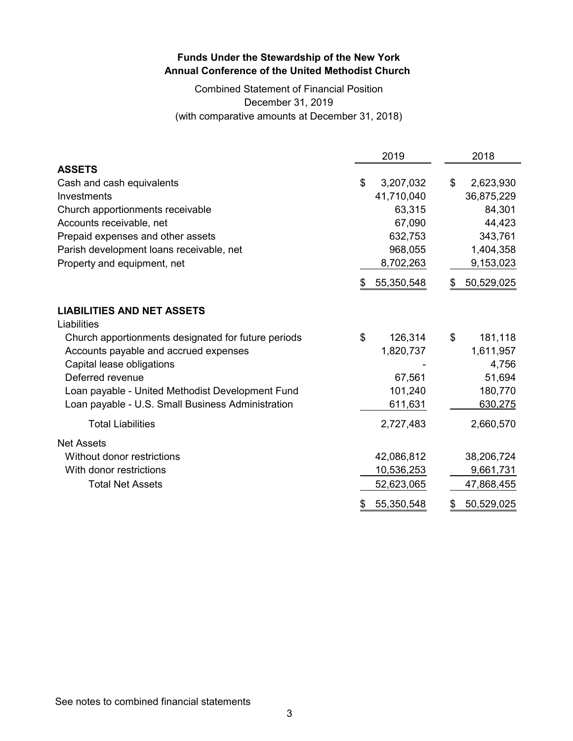Combined Statement of Financial Position December 31, 2019 (with comparative amounts at December 31, 2018)

|                                                     | 2019             | 2018             |
|-----------------------------------------------------|------------------|------------------|
| <b>ASSETS</b>                                       |                  |                  |
| Cash and cash equivalents                           | \$<br>3,207,032  | \$<br>2,623,930  |
| Investments                                         | 41,710,040       | 36,875,229       |
| Church apportionments receivable                    | 63,315           | 84,301           |
| Accounts receivable, net                            | 67,090           | 44,423           |
| Prepaid expenses and other assets                   | 632,753          | 343,761          |
| Parish development loans receivable, net            | 968,055          | 1,404,358        |
| Property and equipment, net                         | 8,702,263        | 9,153,023        |
|                                                     | \$<br>55,350,548 | \$<br>50,529,025 |
| <b>LIABILITIES AND NET ASSETS</b>                   |                  |                  |
| Liabilities                                         |                  |                  |
| Church apportionments designated for future periods | \$<br>126,314    | \$<br>181,118    |
| Accounts payable and accrued expenses               | 1,820,737        | 1,611,957        |
| Capital lease obligations                           |                  | 4,756            |
| Deferred revenue                                    | 67,561           | 51,694           |
| Loan payable - United Methodist Development Fund    | 101,240          | 180,770          |
| Loan payable - U.S. Small Business Administration   | 611,631          | 630,275          |
| <b>Total Liabilities</b>                            | 2,727,483        | 2,660,570        |
| <b>Net Assets</b>                                   |                  |                  |
| Without donor restrictions                          | 42,086,812       | 38,206,724       |
| With donor restrictions                             | 10,536,253       | 9,661,731        |
| <b>Total Net Assets</b>                             | 52,623,065       | 47,868,455       |
|                                                     | \$<br>55,350,548 | \$<br>50,529,025 |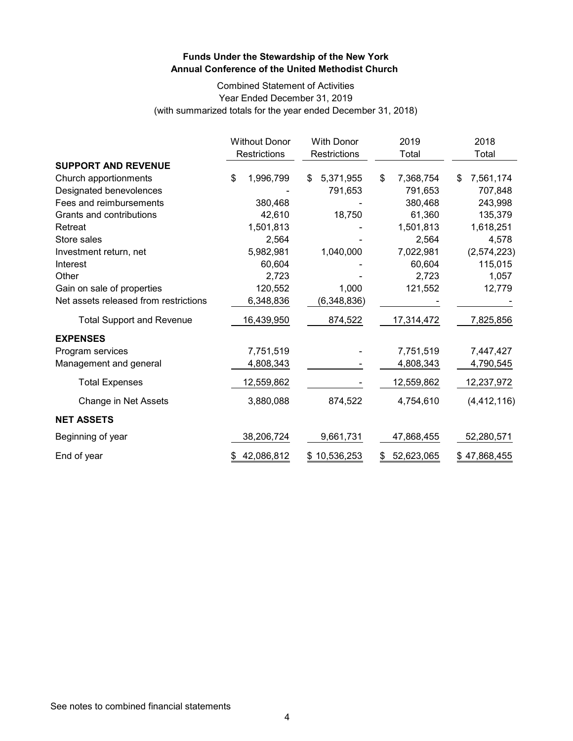#### Combined Statement of Activities Year Ended December 31, 2019 (with summarized totals for the year ended December 31, 2018)

|                                       | <b>Without Donor</b><br>Restrictions | <b>With Donor</b><br>Restrictions | 2019<br>Total    | 2018<br>Total    |
|---------------------------------------|--------------------------------------|-----------------------------------|------------------|------------------|
| <b>SUPPORT AND REVENUE</b>            |                                      |                                   |                  |                  |
| Church apportionments                 | \$<br>1,996,799                      | 5,371,955<br>\$                   | \$<br>7,368,754  | 7,561,174<br>\$  |
| Designated benevolences               |                                      | 791,653                           | 791,653          | 707,848          |
| Fees and reimbursements               | 380,468                              |                                   | 380,468          | 243,998          |
| Grants and contributions              | 42,610                               | 18,750                            | 61,360           | 135,379          |
| Retreat                               | 1,501,813                            |                                   | 1,501,813        | 1,618,251        |
| Store sales                           | 2,564                                |                                   | 2,564            | 4,578            |
| Investment return, net                | 5,982,981                            | 1,040,000                         | 7,022,981        | (2,574,223)      |
| Interest                              | 60,604                               |                                   | 60,604           | 115,015          |
| Other                                 | 2,723                                |                                   | 2,723            | 1,057            |
| Gain on sale of properties            | 120,552                              | 1,000                             | 121,552          | 12,779           |
| Net assets released from restrictions | 6,348,836                            | (6,348,836)                       |                  |                  |
| <b>Total Support and Revenue</b>      | 16,439,950                           | 874,522                           | 17,314,472       | 7,825,856        |
| <b>EXPENSES</b>                       |                                      |                                   |                  |                  |
| Program services                      | 7,751,519                            |                                   | 7,751,519        | 7,447,427        |
| Management and general                | 4,808,343                            |                                   | 4,808,343        | 4,790,545        |
| <b>Total Expenses</b>                 | 12,559,862                           |                                   | 12,559,862       | 12,237,972       |
| Change in Net Assets                  | 3,880,088                            | 874,522                           | 4,754,610        | (4, 412, 116)    |
| <b>NET ASSETS</b>                     |                                      |                                   |                  |                  |
| Beginning of year                     | 38,206,724                           | 9,661,731                         | 47,868,455       | 52,280,571       |
| End of year                           | 42,086,812                           | 10,536,253<br>\$                  | 52,623,065<br>\$ | 47,868,455<br>\$ |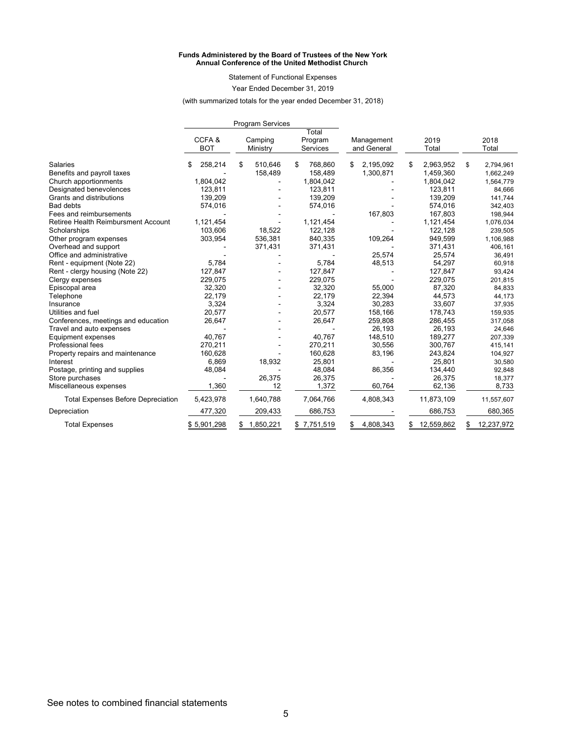#### **Funds Administered by the Board of Trustees of the New York Annual Conference of the United Methodist Church**

Statement of Functional Expenses

Year Ended December 31, 2019

(with summarized totals for the year ended December 31, 2018)

|                                           |                     | <b>Program Services</b> |                              |                           |                  |                  |
|-------------------------------------------|---------------------|-------------------------|------------------------------|---------------------------|------------------|------------------|
|                                           | CCFA&<br><b>BOT</b> | Camping<br>Ministry     | Total<br>Program<br>Services | Management<br>and General | 2019<br>Total    | 2018<br>Total    |
| <b>Salaries</b>                           | 258,214<br>\$       | \$<br>510,646           | 768,860<br>\$                | 2,195,092<br>S            | 2,963,952<br>\$  | \$<br>2,794,961  |
| Benefits and payroll taxes                |                     | 158,489                 | 158,489                      | 1,300,871                 | 1,459,360        | 1,662,249        |
| Church apportionments                     | 1,804,042           |                         | 1,804,042                    |                           | 1,804,042        | 1,564,779        |
| Designated benevolences                   | 123,811             |                         | 123,811                      |                           | 123,811          | 84,666           |
| Grants and distributions                  | 139,209             |                         | 139,209                      |                           | 139,209          | 141,744          |
| <b>Bad debts</b>                          | 574,016             |                         | 574,016                      |                           | 574,016          | 342,403          |
| Fees and reimbursements                   |                     |                         |                              | 167,803                   | 167,803          | 198,944          |
| Retiree Health Reimbursment Account       | 1,121,454           |                         | 1,121,454                    |                           | 1,121,454        | 1,076,034        |
| Scholarships                              | 103,606             | 18,522                  | 122,128                      |                           | 122,128          | 239,505          |
| Other program expenses                    | 303,954             | 536,381                 | 840,335                      | 109,264                   | 949,599          | 1,106,988        |
| Overhead and support                      |                     | 371,431                 | 371,431                      |                           | 371,431          | 406,161          |
| Office and administrative                 |                     |                         |                              | 25,574                    | 25,574           | 36,491           |
| Rent - equipment (Note 22)                | 5,784               |                         | 5,784                        | 48,513                    | 54,297           | 60,918           |
| Rent - clergy housing (Note 22)           | 127,847             |                         | 127,847                      |                           | 127,847          | 93,424           |
| Clergy expenses                           | 229,075             |                         | 229,075                      |                           | 229,075          | 201,815          |
| Episcopal area                            | 32,320              |                         | 32,320                       | 55,000                    | 87,320           | 84,833           |
| Telephone                                 | 22,179              |                         | 22,179                       | 22,394                    | 44,573           | 44,173           |
| Insurance                                 | 3,324               |                         | 3,324                        | 30,283                    | 33,607           | 37,935           |
| Utilities and fuel                        | 20,577              |                         | 20,577                       | 158,166                   | 178,743          | 159,935          |
| Conferences, meetings and education       | 26,647              |                         | 26,647                       | 259,808                   | 286,455          | 317,058          |
| Travel and auto expenses                  |                     |                         |                              | 26,193                    | 26,193           | 24,646           |
| Equipment expenses                        | 40,767              |                         | 40,767                       | 148,510                   | 189,277          | 207,339          |
| Professional fees                         | 270,211             |                         | 270,211                      | 30,556                    | 300,767          | 415,141          |
| Property repairs and maintenance          | 160,628             |                         | 160.628                      | 83,196                    | 243,824          | 104,927          |
| Interest                                  | 6,869               | 18,932                  | 25,801                       |                           | 25,801           | 30,580           |
| Postage, printing and supplies            | 48,084              |                         | 48,084                       | 86,356                    | 134,440          | 92,848           |
| Store purchases                           |                     | 26,375                  | 26,375                       |                           | 26,375           | 18,377           |
| Miscellaneous expenses                    | 1,360               | 12                      | 1,372                        | 60,764                    | 62,136           | 8,733            |
| <b>Total Expenses Before Depreciation</b> | 5,423,978           | 1,640,788               | 7,064,766                    | 4,808,343                 | 11,873,109       | 11,557,607       |
| Depreciation                              | 477,320             | 209,433                 | 686,753                      |                           | 686,753          | 680,365          |
| <b>Total Expenses</b>                     | \$5,901,298         | 1,850,221<br>\$         | \$7,751,519                  | 4,808,343<br>\$           | 12,559,862<br>\$ | 12,237,972<br>\$ |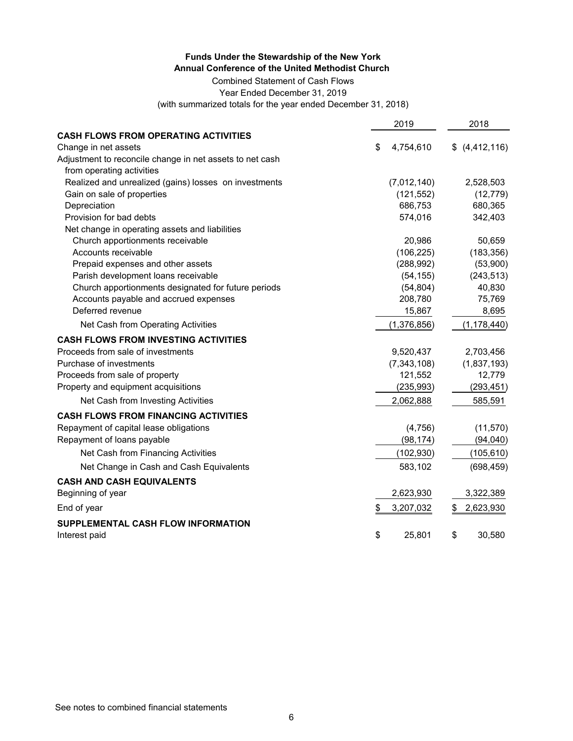Combined Statement of Cash Flows

Year Ended December 31, 2019

(with summarized totals for the year ended December 31, 2018)

|                                                          | 2019            | 2018            |
|----------------------------------------------------------|-----------------|-----------------|
| <b>CASH FLOWS FROM OPERATING ACTIVITIES</b>              |                 |                 |
| Change in net assets                                     | \$<br>4,754,610 | \$ (4,412,116)  |
| Adjustment to reconcile change in net assets to net cash |                 |                 |
| from operating activities                                |                 |                 |
| Realized and unrealized (gains) losses on investments    | (7,012,140)     | 2,528,503       |
| Gain on sale of properties                               | (121, 552)      | (12, 779)       |
| Depreciation                                             | 686,753         | 680,365         |
| Provision for bad debts                                  | 574,016         | 342,403         |
| Net change in operating assets and liabilities           |                 |                 |
| Church apportionments receivable                         | 20,986          | 50,659          |
| Accounts receivable                                      | (106, 225)      | (183, 356)      |
| Prepaid expenses and other assets                        | (288, 992)      | (53,900)        |
| Parish development loans receivable                      | (54, 155)       | (243, 513)      |
| Church apportionments designated for future periods      | (54, 804)       | 40,830          |
| Accounts payable and accrued expenses                    | 208,780         | 75,769          |
| Deferred revenue                                         | 15,867          | 8,695           |
| Net Cash from Operating Activities                       | (1,376,856)     | (1, 178, 440)   |
| <b>CASH FLOWS FROM INVESTING ACTIVITIES</b>              |                 |                 |
| Proceeds from sale of investments                        | 9,520,437       | 2,703,456       |
| Purchase of investments                                  | (7, 343, 108)   | (1,837,193)     |
| Proceeds from sale of property                           | 121,552         | 12,779          |
| Property and equipment acquisitions                      | (235, 993)      | (293, 451)      |
| Net Cash from Investing Activities                       | 2,062,888       | 585,591         |
| <b>CASH FLOWS FROM FINANCING ACTIVITIES</b>              |                 |                 |
| Repayment of capital lease obligations                   | (4,756)         | (11, 570)       |
| Repayment of loans payable                               | (98, 174)       | (94, 040)       |
| Net Cash from Financing Activities                       | (102, 930)      | (105, 610)      |
| Net Change in Cash and Cash Equivalents                  | 583,102         | (698, 459)      |
| <b>CASH AND CASH EQUIVALENTS</b>                         |                 |                 |
| Beginning of year                                        | 2,623,930       | 3,322,389       |
| End of year                                              | \$<br>3,207,032 | \$<br>2,623,930 |
| SUPPLEMENTAL CASH FLOW INFORMATION                       |                 |                 |
| Interest paid                                            | \$<br>25,801    | \$<br>30,580    |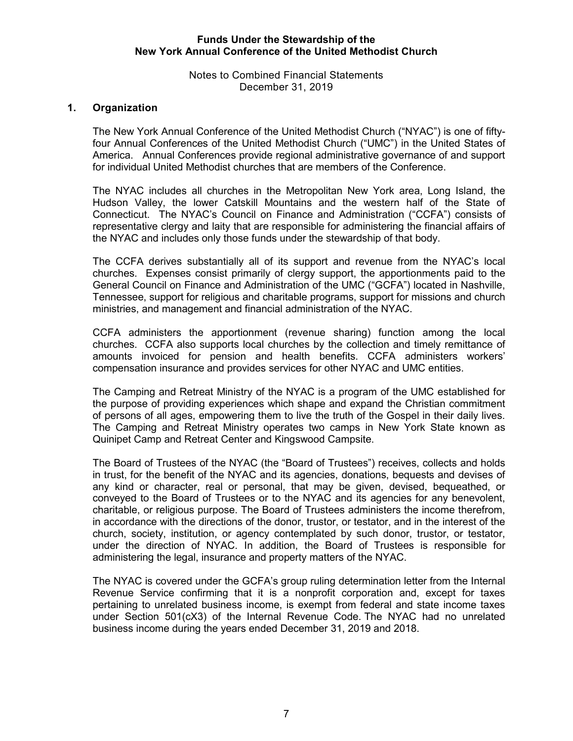Notes to Combined Financial Statements December 31, 2019

## **1. Organization**

The New York Annual Conference of the United Methodist Church ("NYAC") is one of fiftyfour Annual Conferences of the United Methodist Church ("UMC") in the United States of America. Annual Conferences provide regional administrative governance of and support for individual United Methodist churches that are members of the Conference.

The NYAC includes all churches in the Metropolitan New York area, Long Island, the Hudson Valley, the lower Catskill Mountains and the western half of the State of Connecticut. The NYAC's Council on Finance and Administration ("CCFA") consists of representative clergy and laity that are responsible for administering the financial affairs of the NYAC and includes only those funds under the stewardship of that body.

The CCFA derives substantially all of its support and revenue from the NYAC's local churches. Expenses consist primarily of clergy support, the apportionments paid to the General Council on Finance and Administration of the UMC ("GCFA") located in Nashville, Tennessee, support for religious and charitable programs, support for missions and church ministries, and management and financial administration of the NYAC.

CCFA administers the apportionment (revenue sharing) function among the local churches. CCFA also supports local churches by the collection and timely remittance of amounts invoiced for pension and health benefits. CCFA administers workers' compensation insurance and provides services for other NYAC and UMC entities.

The Camping and Retreat Ministry of the NYAC is a program of the UMC established for the purpose of providing experiences which shape and expand the Christian commitment of persons of all ages, empowering them to live the truth of the Gospel in their daily lives. The Camping and Retreat Ministry operates two camps in New York State known as Quinipet Camp and Retreat Center and Kingswood Campsite.

The Board of Trustees of the NYAC (the "Board of Trustees") receives, collects and holds in trust, for the benefit of the NYAC and its agencies, donations, bequests and devises of any kind or character, real or personal, that may be given, devised, bequeathed, or conveyed to the Board of Trustees or to the NYAC and its agencies for any benevolent, charitable, or religious purpose. The Board of Trustees administers the income therefrom, in accordance with the directions of the donor, trustor, or testator, and in the interest of the church, society, institution, or agency contemplated by such donor, trustor, or testator, under the direction of NYAC. In addition, the Board of Trustees is responsible for administering the legal, insurance and property matters of the NYAC.

The NYAC is covered under the GCFA's group ruling determination letter from the Internal Revenue Service confirming that it is a nonprofit corporation and, except for taxes pertaining to unrelated business income, is exempt from federal and state income taxes under Section 501(cX3) of the Internal Revenue Code. The NYAC had no unrelated business income during the years ended December 31, 2019 and 2018.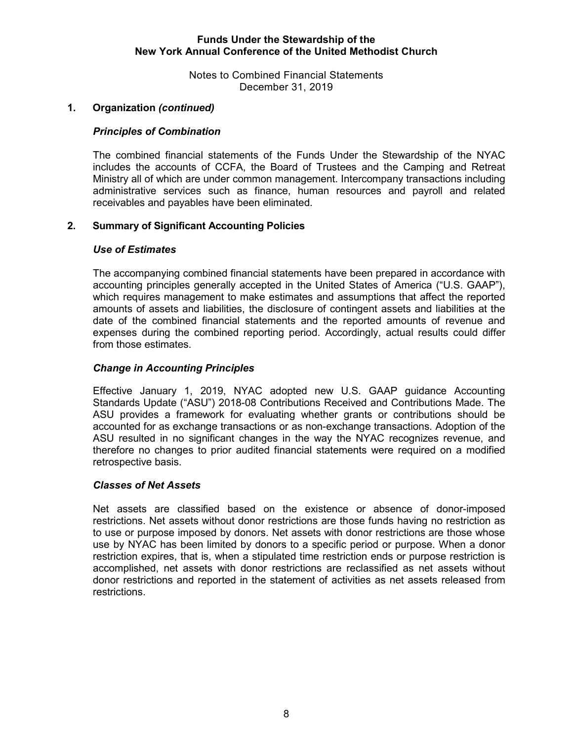Notes to Combined Financial Statements December 31, 2019

## **1. Organization** *(continued)*

#### *Principles of Combination*

The combined financial statements of the Funds Under the Stewardship of the NYAC includes the accounts of CCFA, the Board of Trustees and the Camping and Retreat Ministry all of which are under common management. Intercompany transactions including administrative services such as finance, human resources and payroll and related receivables and payables have been eliminated.

## **2. Summary of Significant Accounting Policies**

#### *Use of Estimates*

The accompanying combined financial statements have been prepared in accordance with accounting principles generally accepted in the United States of America ("U.S. GAAP"), which requires management to make estimates and assumptions that affect the reported amounts of assets and liabilities, the disclosure of contingent assets and liabilities at the date of the combined financial statements and the reported amounts of revenue and expenses during the combined reporting period. Accordingly, actual results could differ from those estimates.

#### *Change in Accounting Principles*

Effective January 1, 2019, NYAC adopted new U.S. GAAP guidance Accounting Standards Update ("ASU") 2018-08 Contributions Received and Contributions Made. The ASU provides a framework for evaluating whether grants or contributions should be accounted for as exchange transactions or as non-exchange transactions. Adoption of the ASU resulted in no significant changes in the way the NYAC recognizes revenue, and therefore no changes to prior audited financial statements were required on a modified retrospective basis.

#### *Classes of Net Assets*

Net assets are classified based on the existence or absence of donor-imposed restrictions. Net assets without donor restrictions are those funds having no restriction as to use or purpose imposed by donors. Net assets with donor restrictions are those whose use by NYAC has been limited by donors to a specific period or purpose. When a donor restriction expires, that is, when a stipulated time restriction ends or purpose restriction is accomplished, net assets with donor restrictions are reclassified as net assets without donor restrictions and reported in the statement of activities as net assets released from restrictions.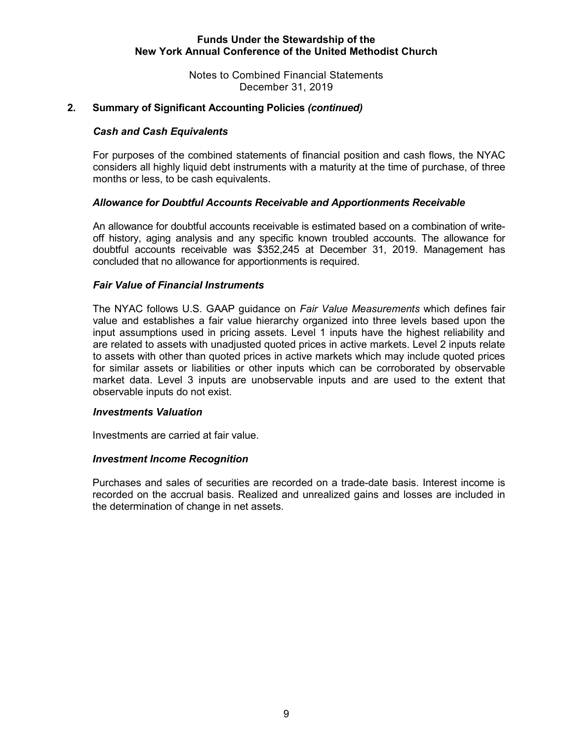Notes to Combined Financial Statements December 31, 2019

## **2. Summary of Significant Accounting Policies** *(continued)*

#### *Cash and Cash Equivalents*

For purposes of the combined statements of financial position and cash flows, the NYAC considers all highly liquid debt instruments with a maturity at the time of purchase, of three months or less, to be cash equivalents.

#### *Allowance for Doubtful Accounts Receivable and Apportionments Receivable*

An allowance for doubtful accounts receivable is estimated based on a combination of writeoff history, aging analysis and any specific known troubled accounts. The allowance for doubtful accounts receivable was \$352,245 at December 31, 2019. Management has concluded that no allowance for apportionments is required.

#### *Fair Value of Financial Instruments*

The NYAC follows U.S. GAAP guidance on *Fair Value Measurements* which defines fair value and establishes a fair value hierarchy organized into three levels based upon the input assumptions used in pricing assets. Level 1 inputs have the highest reliability and are related to assets with unadjusted quoted prices in active markets. Level 2 inputs relate to assets with other than quoted prices in active markets which may include quoted prices for similar assets or liabilities or other inputs which can be corroborated by observable market data. Level 3 inputs are unobservable inputs and are used to the extent that observable inputs do not exist.

#### *Investments Valuation*

Investments are carried at fair value.

#### *Investment Income Recognition*

Purchases and sales of securities are recorded on a trade-date basis. Interest income is recorded on the accrual basis. Realized and unrealized gains and losses are included in the determination of change in net assets.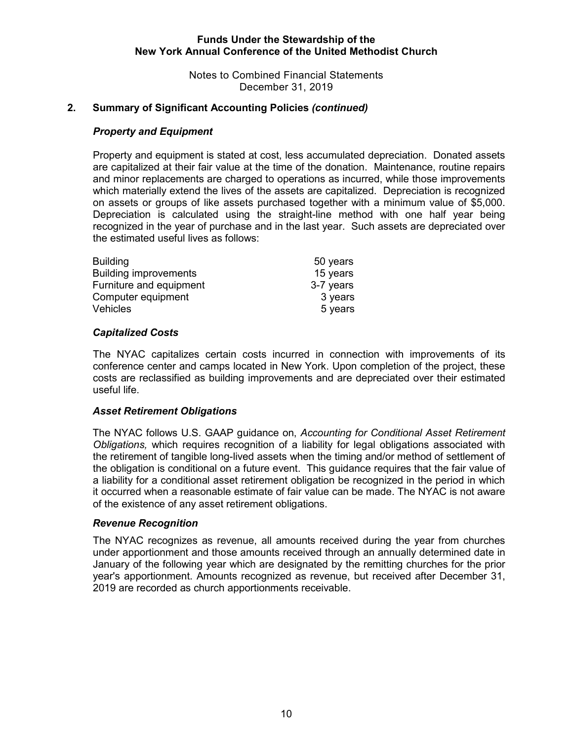Notes to Combined Financial Statements December 31, 2019

## **2. Summary of Significant Accounting Policies** *(continued)*

#### *Property and Equipment*

Property and equipment is stated at cost, less accumulated depreciation. Donated assets are capitalized at their fair value at the time of the donation. Maintenance, routine repairs and minor replacements are charged to operations as incurred, while those improvements which materially extend the lives of the assets are capitalized. Depreciation is recognized on assets or groups of like assets purchased together with a minimum value of \$5,000. Depreciation is calculated using the straight-line method with one half year being recognized in the year of purchase and in the last year. Such assets are depreciated over the estimated useful lives as follows:

| <b>Building</b>              | 50 years  |
|------------------------------|-----------|
| <b>Building improvements</b> | 15 years  |
| Furniture and equipment      | 3-7 years |
| Computer equipment           | 3 years   |
| <b>Vehicles</b>              | 5 years   |

#### *Capitalized Costs*

The NYAC capitalizes certain costs incurred in connection with improvements of its conference center and camps located in New York. Upon completion of the project, these costs are reclassified as building improvements and are depreciated over their estimated useful life.

#### *Asset Retirement Obligations*

The NYAC follows U.S. GAAP guidance on, *Accounting for Conditional Asset Retirement Obligations,* which requires recognition of a liability for legal obligations associated with the retirement of tangible long-lived assets when the timing and/or method of settlement of the obligation is conditional on a future event. This guidance requires that the fair value of a liability for a conditional asset retirement obligation be recognized in the period in which it occurred when a reasonable estimate of fair value can be made. The NYAC is not aware of the existence of any asset retirement obligations.

#### *Revenue Recognition*

The NYAC recognizes as revenue, all amounts received during the year from churches under apportionment and those amounts received through an annually determined date in January of the following year which are designated by the remitting churches for the prior year's apportionment. Amounts recognized as revenue, but received after December 31, 2019 are recorded as church apportionments receivable.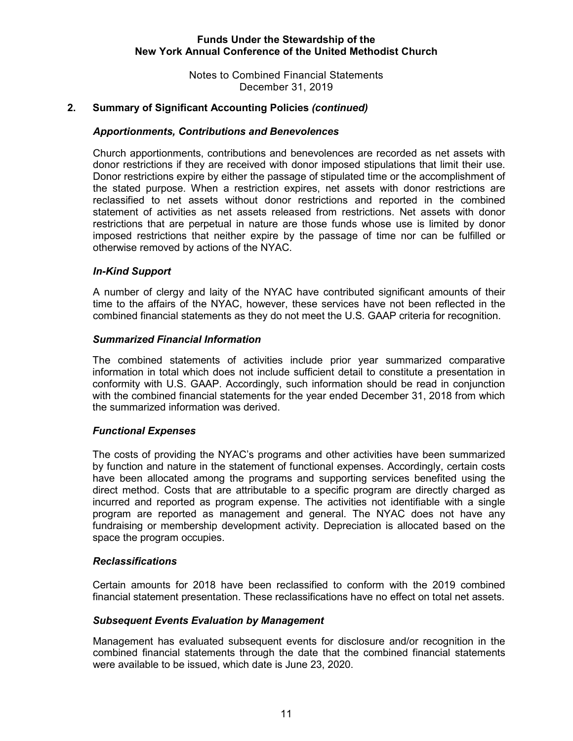Notes to Combined Financial Statements December 31, 2019

## **2. Summary of Significant Accounting Policies** *(continued)*

#### *Apportionments, Contributions and Benevolences*

Church apportionments, contributions and benevolences are recorded as net assets with donor restrictions if they are received with donor imposed stipulations that limit their use. Donor restrictions expire by either the passage of stipulated time or the accomplishment of the stated purpose. When a restriction expires, net assets with donor restrictions are reclassified to net assets without donor restrictions and reported in the combined statement of activities as net assets released from restrictions. Net assets with donor restrictions that are perpetual in nature are those funds whose use is limited by donor imposed restrictions that neither expire by the passage of time nor can be fulfilled or otherwise removed by actions of the NYAC.

#### *In-Kind Support*

A number of clergy and laity of the NYAC have contributed significant amounts of their time to the affairs of the NYAC, however, these services have not been reflected in the combined financial statements as they do not meet the U.S. GAAP criteria for recognition.

#### *Summarized Financial Information*

The combined statements of activities include prior year summarized comparative information in total which does not include sufficient detail to constitute a presentation in conformity with U.S. GAAP. Accordingly, such information should be read in conjunction with the combined financial statements for the year ended December 31, 2018 from which the summarized information was derived.

## *Functional Expenses*

The costs of providing the NYAC's programs and other activities have been summarized by function and nature in the statement of functional expenses. Accordingly, certain costs have been allocated among the programs and supporting services benefited using the direct method. Costs that are attributable to a specific program are directly charged as incurred and reported as program expense. The activities not identifiable with a single program are reported as management and general. The NYAC does not have any fundraising or membership development activity. Depreciation is allocated based on the space the program occupies.

#### *Reclassifications*

Certain amounts for 2018 have been reclassified to conform with the 2019 combined financial statement presentation. These reclassifications have no effect on total net assets.

#### *Subsequent Events Evaluation by Management*

Management has evaluated subsequent events for disclosure and/or recognition in the combined financial statements through the date that the combined financial statements were available to be issued, which date is June 23, 2020.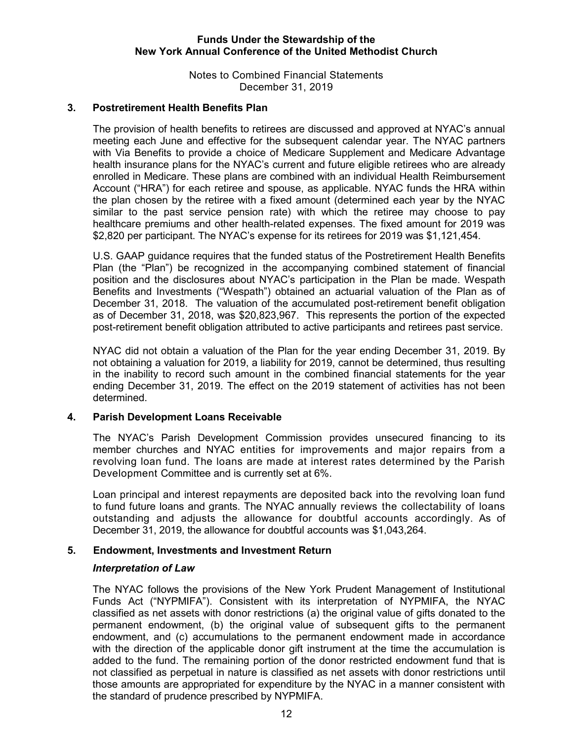Notes to Combined Financial Statements December 31, 2019

## **3. Postretirement Health Benefits Plan**

The provision of health benefits to retirees are discussed and approved at NYAC's annual meeting each June and effective for the subsequent calendar year. The NYAC partners with Via Benefits to provide a choice of Medicare Supplement and Medicare Advantage health insurance plans for the NYAC's current and future eligible retirees who are already enrolled in Medicare. These plans are combined with an individual Health Reimbursement Account ("HRA") for each retiree and spouse, as applicable. NYAC funds the HRA within the plan chosen by the retiree with a fixed amount (determined each year by the NYAC similar to the past service pension rate) with which the retiree may choose to pay healthcare premiums and other health-related expenses. The fixed amount for 2019 was \$2,820 per participant. The NYAC's expense for its retirees for 2019 was \$1,121,454.

U.S. GAAP guidance requires that the funded status of the Postretirement Health Benefits Plan (the "Plan") be recognized in the accompanying combined statement of financial position and the disclosures about NYAC's participation in the Plan be made. Wespath Benefits and Investments ("Wespath") obtained an actuarial valuation of the Plan as of December 31, 2018. The valuation of the accumulated post-retirement benefit obligation as of December 31, 2018, was \$20,823,967. This represents the portion of the expected post-retirement benefit obligation attributed to active participants and retirees past service.

NYAC did not obtain a valuation of the Plan for the year ending December 31, 2019. By not obtaining a valuation for 2019, a liability for 2019, cannot be determined, thus resulting in the inability to record such amount in the combined financial statements for the year ending December 31, 2019. The effect on the 2019 statement of activities has not been determined.

#### **4. Parish Development Loans Receivable**

The NYAC's Parish Development Commission provides unsecured financing to its member churches and NYAC entities for improvements and major repairs from a revolving loan fund. The loans are made at interest rates determined by the Parish Development Committee and is currently set at 6%.

Loan principal and interest repayments are deposited back into the revolving loan fund to fund future loans and grants. The NYAC annually reviews the collectability of loans outstanding and adjusts the allowance for doubtful accounts accordingly. As of December 31, 2019, the allowance for doubtful accounts was \$1,043,264.

#### **5. Endowment, Investments and Investment Return**

#### *Interpretation of Law*

The NYAC follows the provisions of the New York Prudent Management of Institutional Funds Act ("NYPMIFA"). Consistent with its interpretation of NYPMIFA, the NYAC classified as net assets with donor restrictions (a) the original value of gifts donated to the permanent endowment, (b) the original value of subsequent gifts to the permanent endowment, and (c) accumulations to the permanent endowment made in accordance with the direction of the applicable donor gift instrument at the time the accumulation is added to the fund. The remaining portion of the donor restricted endowment fund that is not classified as perpetual in nature is classified as net assets with donor restrictions until those amounts are appropriated for expenditure by the NYAC in a manner consistent with the standard of prudence prescribed by NYPMIFA.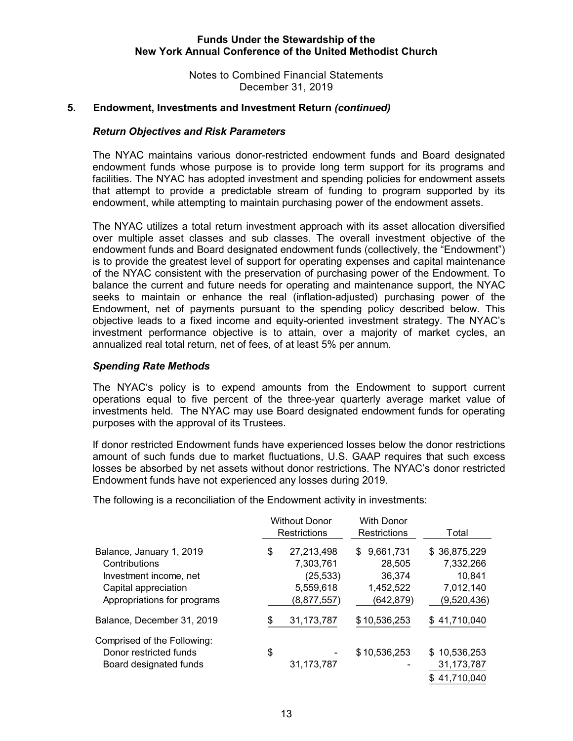Notes to Combined Financial Statements December 31, 2019

#### **5. Endowment, Investments and Investment Return** *(continued)*

#### *Return Objectives and Risk Parameters*

The NYAC maintains various donor-restricted endowment funds and Board designated endowment funds whose purpose is to provide long term support for its programs and facilities. The NYAC has adopted investment and spending policies for endowment assets that attempt to provide a predictable stream of funding to program supported by its endowment, while attempting to maintain purchasing power of the endowment assets.

The NYAC utilizes a total return investment approach with its asset allocation diversified over multiple asset classes and sub classes. The overall investment objective of the endowment funds and Board designated endowment funds (collectively, the "Endowment") is to provide the greatest level of support for operating expenses and capital maintenance of the NYAC consistent with the preservation of purchasing power of the Endowment. To balance the current and future needs for operating and maintenance support, the NYAC seeks to maintain or enhance the real (inflation-adjusted) purchasing power of the Endowment, net of payments pursuant to the spending policy described below. This objective leads to a fixed income and equity-oriented investment strategy. The NYAC's investment performance objective is to attain, over a majority of market cycles, an annualized real total return, net of fees, of at least 5% per annum.

## *Spending Rate Methods*

The NYAC's policy is to expend amounts from the Endowment to support current operations equal to five percent of the three-year quarterly average market value of investments held. The NYAC may use Board designated endowment funds for operating purposes with the approval of its Trustees.

If donor restricted Endowment funds have experienced losses below the donor restrictions amount of such funds due to market fluctuations, U.S. GAAP requires that such excess losses be absorbed by net assets without donor restrictions. The NYAC's donor restricted Endowment funds have not experienced any losses during 2019.

The following is a reconciliation of the Endowment activity in investments:

|                                                                                                                            | <b>Without Donor</b><br><b>Restrictions</b>                            | <b>With Donor</b><br>Restrictions                         | Total                                                           |
|----------------------------------------------------------------------------------------------------------------------------|------------------------------------------------------------------------|-----------------------------------------------------------|-----------------------------------------------------------------|
| Balance, January 1, 2019<br>Contributions<br>Investment income, net<br>Capital appreciation<br>Appropriations for programs | \$<br>27,213,498<br>7,303,761<br>(25, 533)<br>5,559,618<br>(8,877,557) | \$9,661,731<br>28,505<br>36,374<br>1,452,522<br>(642,879) | \$36,875,229<br>7,332,266<br>10,841<br>7,012,140<br>(9,520,436) |
| Balance, December 31, 2019                                                                                                 | 31, 173, 787                                                           | \$10,536,253                                              | \$41,710,040                                                    |
| Comprised of the Following:<br>Donor restricted funds<br>Board designated funds                                            | \$<br>31,173,787                                                       | \$10,536,253                                              | \$10,536,253<br>31, 173, 787<br>41,710,040                      |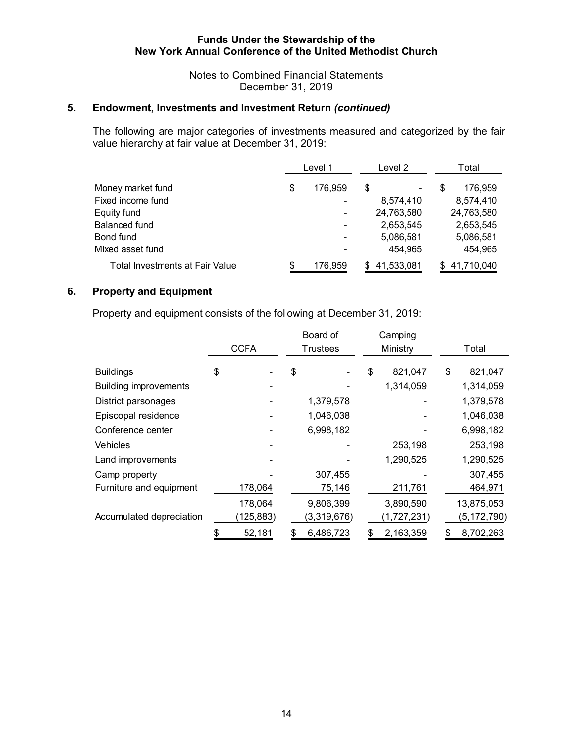Notes to Combined Financial Statements December 31, 2019

## **5. Endowment, Investments and Investment Return** *(continued)*

The following are major categories of investments measured and categorized by the fair value hierarchy at fair value at December 31, 2019:

|                                 | Level 1       | Level 2    | Total      |
|---------------------------------|---------------|------------|------------|
| Money market fund               | \$<br>176,959 | \$         | 176,959    |
| Fixed income fund               |               | 8,574,410  | 8,574,410  |
| Equity fund                     |               | 24,763,580 | 24,763,580 |
| Balanced fund                   |               | 2,653,545  | 2,653,545  |
| Bond fund                       |               | 5,086,581  | 5,086,581  |
| Mixed asset fund                |               | 454,965    | 454,965    |
| Total Investments at Fair Value | 176,959       | 41,533,081 | 41,710,040 |

## **6. Property and Equipment**

Property and equipment consists of the following at December 31, 2019:

|                              |              | Board of        | Camping         |                 |
|------------------------------|--------------|-----------------|-----------------|-----------------|
|                              | <b>CCFA</b>  | Trustees        | Ministry        | Total           |
| <b>Buildings</b>             | \$           | \$              | \$<br>821,047   | \$<br>821,047   |
| <b>Building improvements</b> |              |                 | 1,314,059       | 1,314,059       |
| District parsonages          |              | 1,379,578       |                 | 1,379,578       |
| Episcopal residence          |              | 1,046,038       |                 | 1,046,038       |
| Conference center            |              | 6,998,182       |                 | 6,998,182       |
| <b>Vehicles</b>              |              |                 | 253,198         | 253,198         |
| Land improvements            |              |                 | 1,290,525       | 1,290,525       |
| Camp property                |              | 307,455         |                 | 307,455         |
| Furniture and equipment      | 178,064      | 75,146          | 211,761         | 464,971         |
|                              | 178,064      | 9,806,399       | 3,890,590       | 13,875,053      |
| Accumulated depreciation     | (125, 883)   | (3,319,676)     | (1,727,231)     | (5, 172, 790)   |
|                              | \$<br>52,181 | \$<br>6,486,723 | \$<br>2,163,359 | \$<br>8,702,263 |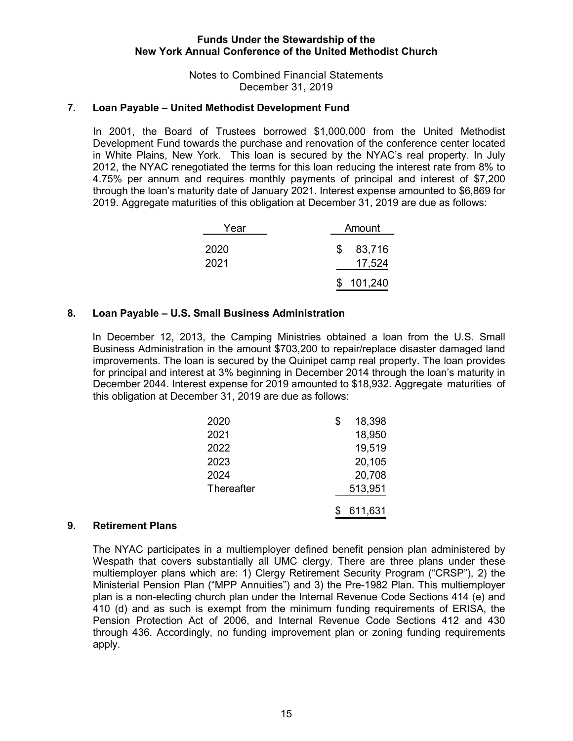### Notes to Combined Financial Statements December 31, 2019

#### **7. Loan Payable – United Methodist Development Fund**

In 2001, the Board of Trustees borrowed \$1,000,000 from the United Methodist Development Fund towards the purchase and renovation of the conference center located in White Plains, New York. This loan is secured by the NYAC's real property. In July 2012, the NYAC renegotiated the terms for this loan reducing the interest rate from 8% to 4.75% per annum and requires monthly payments of principal and interest of \$7,200 through the loan's maturity date of January 2021. Interest expense amounted to \$6,869 for 2019. Aggregate maturities of this obligation at December 31, 2019 are due as follows:

| Year         | Amount |                  |  |
|--------------|--------|------------------|--|
| 2020<br>2021 | \$.    | 83,716<br>17,524 |  |
|              |        | 101,240          |  |

#### **8. Loan Payable – U.S. Small Business Administration**

In December 12, 2013, the Camping Ministries obtained a loan from the U.S. Small Business Administration in the amount \$703,200 to repair/replace disaster damaged land improvements. The loan is secured by the Quinipet camp real property. The loan provides for principal and interest at 3% beginning in December 2014 through the loan's maturity in December 2044. Interest expense for 2019 amounted to \$18,932. Aggregate maturities of this obligation at December 31, 2019 are due as follows:

| 2020       | 18,398  |
|------------|---------|
| 2021       | 18,950  |
| 2022       | 19,519  |
| 2023       | 20,105  |
| 2024       | 20,708  |
| Thereafter | 513,951 |
|            | 611,631 |

#### **9. Retirement Plans**

The NYAC participates in a multiemployer defined benefit pension plan administered by Wespath that covers substantially all UMC clergy. There are three plans under these multiemployer plans which are: 1) Clergy Retirement Security Program ("CRSP"), 2) the Ministerial Pension Plan ("MPP Annuities") and 3) the Pre-1982 Plan. This multiemployer plan is a non-electing church plan under the Internal Revenue Code Sections 414 (e) and 410 (d) and as such is exempt from the minimum funding requirements of ERISA, the Pension Protection Act of 2006, and Internal Revenue Code Sections 412 and 430 through 436. Accordingly, no funding improvement plan or zoning funding requirements apply.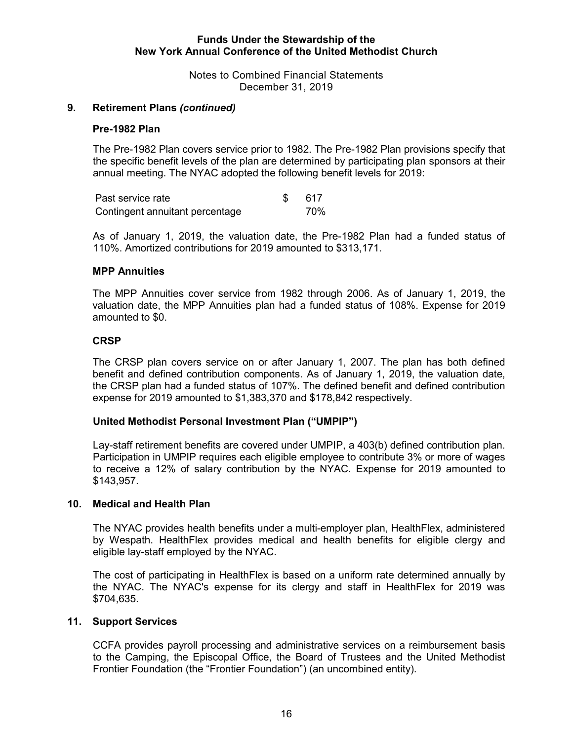Notes to Combined Financial Statements December 31, 2019

#### **9. Retirement Plans** *(continued)*

#### **Pre-1982 Plan**

The Pre-1982 Plan covers service prior to 1982. The Pre-1982 Plan provisions specify that the specific benefit levels of the plan are determined by participating plan sponsors at their annual meeting. The NYAC adopted the following benefit levels for 2019:

| Past service rate               | -617 |
|---------------------------------|------|
| Contingent annuitant percentage | 70%  |

As of January 1, 2019, the valuation date, the Pre-1982 Plan had a funded status of 110%. Amortized contributions for 2019 amounted to \$313,171.

#### **MPP Annuities**

The MPP Annuities cover service from 1982 through 2006. As of January 1, 2019, the valuation date, the MPP Annuities plan had a funded status of 108%. Expense for 2019 amounted to \$0.

#### **CRSP**

The CRSP plan covers service on or after January 1, 2007. The plan has both defined benefit and defined contribution components. As of January 1, 2019, the valuation date, the CRSP plan had a funded status of 107%. The defined benefit and defined contribution expense for 2019 amounted to \$1,383,370 and \$178,842 respectively.

#### **United Methodist Personal Investment Plan ("UMPIP")**

Lay-staff retirement benefits are covered under UMPIP, a 403(b) defined contribution plan. Participation in UMPIP requires each eligible employee to contribute 3% or more of wages to receive a 12% of salary contribution by the NYAC. Expense for 2019 amounted to \$143,957.

#### **10. Medical and Health Plan**

The NYAC provides health benefits under a multi-employer plan, HealthFlex, administered by Wespath. HealthFlex provides medical and health benefits for eligible clergy and eligible lay-staff employed by the NYAC.

The cost of participating in HealthFlex is based on a uniform rate determined annually by the NYAC. The NYAC's expense for its clergy and staff in HealthFlex for 2019 was \$704,635.

#### **11. Support Services**

CCFA provides payroll processing and administrative services on a reimbursement basis to the Camping, the Episcopal Office, the Board of Trustees and the United Methodist Frontier Foundation (the "Frontier Foundation") (an uncombined entity).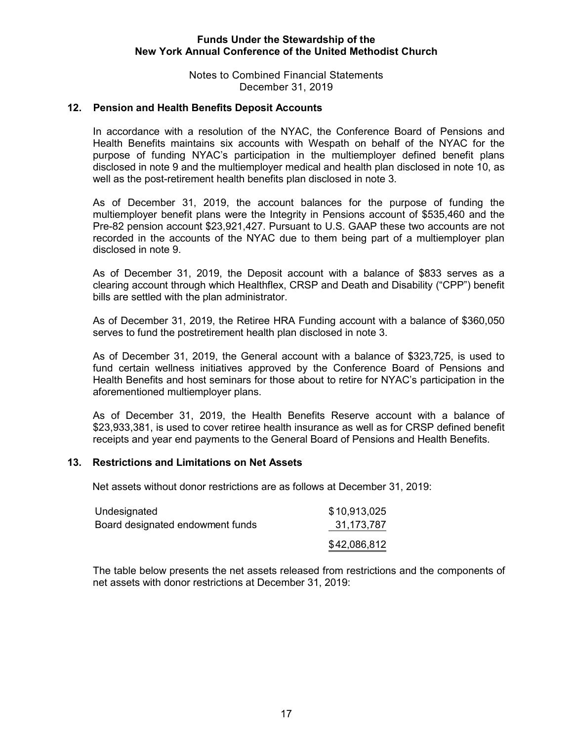Notes to Combined Financial Statements December 31, 2019

#### **12. Pension and Health Benefits Deposit Accounts**

In accordance with a resolution of the NYAC, the Conference Board of Pensions and Health Benefits maintains six accounts with Wespath on behalf of the NYAC for the purpose of funding NYAC's participation in the multiemployer defined benefit plans disclosed in note 9 and the multiemployer medical and health plan disclosed in note 10, as well as the post-retirement health benefits plan disclosed in note 3.

As of December 31, 2019, the account balances for the purpose of funding the multiemployer benefit plans were the Integrity in Pensions account of \$535,460 and the Pre-82 pension account \$23,921,427. Pursuant to U.S. GAAP these two accounts are not recorded in the accounts of the NYAC due to them being part of a multiemployer plan disclosed in note 9.

As of December 31, 2019, the Deposit account with a balance of \$833 serves as a clearing account through which Healthflex, CRSP and Death and Disability ("CPP") benefit bills are settled with the plan administrator.

As of December 31, 2019, the Retiree HRA Funding account with a balance of \$360,050 serves to fund the postretirement health plan disclosed in note 3.

As of December 31, 2019, the General account with a balance of \$323,725, is used to fund certain wellness initiatives approved by the Conference Board of Pensions and Health Benefits and host seminars for those about to retire for NYAC's participation in the aforementioned multiemployer plans.

As of December 31, 2019, the Health Benefits Reserve account with a balance of \$23,933,381, is used to cover retiree health insurance as well as for CRSP defined benefit receipts and year end payments to the General Board of Pensions and Health Benefits.

## **13. Restrictions and Limitations on Net Assets**

Net assets without donor restrictions are as follows at December 31, 2019:

| Undesignated                     | \$10,913,025 |
|----------------------------------|--------------|
| Board designated endowment funds | 31,173,787   |
|                                  | \$42,086,812 |

The table below presents the net assets released from restrictions and the components of net assets with donor restrictions at December 31, 2019: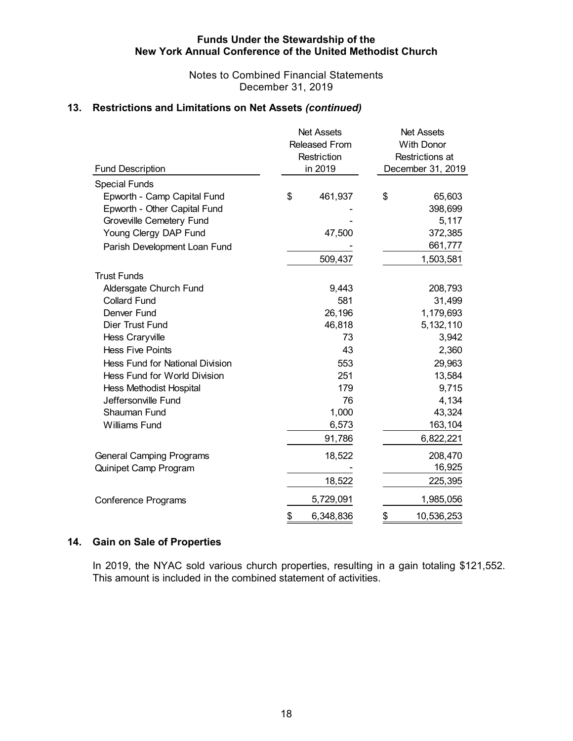Notes to Combined Financial Statements December 31, 2019

## **13. Restrictions and Limitations on Net Assets** *(continued)*

| <b>Fund Description</b>                | <b>Net Assets</b><br><b>Released From</b><br>Restriction<br>in 2019 | <b>Net Assets</b><br><b>With Donor</b><br>Restrictions at<br>December 31, 2019 |            |  |  |  |
|----------------------------------------|---------------------------------------------------------------------|--------------------------------------------------------------------------------|------------|--|--|--|
| <b>Special Funds</b>                   |                                                                     |                                                                                |            |  |  |  |
| Epworth - Camp Capital Fund            | \$<br>461,937                                                       | \$                                                                             | 65,603     |  |  |  |
| Epworth - Other Capital Fund           |                                                                     |                                                                                | 398,699    |  |  |  |
| Groveville Cemetery Fund               |                                                                     |                                                                                | 5,117      |  |  |  |
| Young Clergy DAP Fund                  | 47,500                                                              |                                                                                | 372,385    |  |  |  |
| Parish Development Loan Fund           |                                                                     | 661,777                                                                        |            |  |  |  |
|                                        | 509,437                                                             |                                                                                | 1,503,581  |  |  |  |
| <b>Trust Funds</b>                     |                                                                     |                                                                                |            |  |  |  |
| Aldersgate Church Fund                 | 9,443                                                               |                                                                                | 208,793    |  |  |  |
| <b>Collard Fund</b>                    | 581                                                                 |                                                                                | 31,499     |  |  |  |
| Denver Fund                            | 26,196                                                              |                                                                                | 1,179,693  |  |  |  |
| <b>Dier Trust Fund</b>                 | 46,818                                                              |                                                                                | 5,132,110  |  |  |  |
| Hess Craryville                        | 73                                                                  |                                                                                | 3,942      |  |  |  |
| <b>Hess Five Points</b>                | 43                                                                  |                                                                                | 2,360      |  |  |  |
| <b>Hess Fund for National Division</b> | 553                                                                 |                                                                                | 29,963     |  |  |  |
| Hess Fund for World Division           | 251                                                                 |                                                                                | 13,584     |  |  |  |
| <b>Hess Methodist Hospital</b>         | 179                                                                 |                                                                                | 9,715      |  |  |  |
| Jeffersonville Fund                    | 76                                                                  |                                                                                | 4,134      |  |  |  |
| <b>Shauman Fund</b>                    | 1,000                                                               |                                                                                | 43,324     |  |  |  |
| <b>Williams Fund</b>                   | 6,573                                                               |                                                                                | 163,104    |  |  |  |
|                                        | 91,786                                                              |                                                                                | 6,822,221  |  |  |  |
| <b>General Camping Programs</b>        | 18,522                                                              |                                                                                | 208,470    |  |  |  |
| Quinipet Camp Program                  |                                                                     |                                                                                | 16,925     |  |  |  |
|                                        | 18,522                                                              |                                                                                | 225,395    |  |  |  |
| <b>Conference Programs</b>             | 5,729,091                                                           |                                                                                | 1,985,056  |  |  |  |
|                                        | \$<br>6,348,836                                                     | \$                                                                             | 10,536,253 |  |  |  |

## **14. Gain on Sale of Properties**

In 2019, the NYAC sold various church properties, resulting in a gain totaling \$121,552. This amount is included in the combined statement of activities.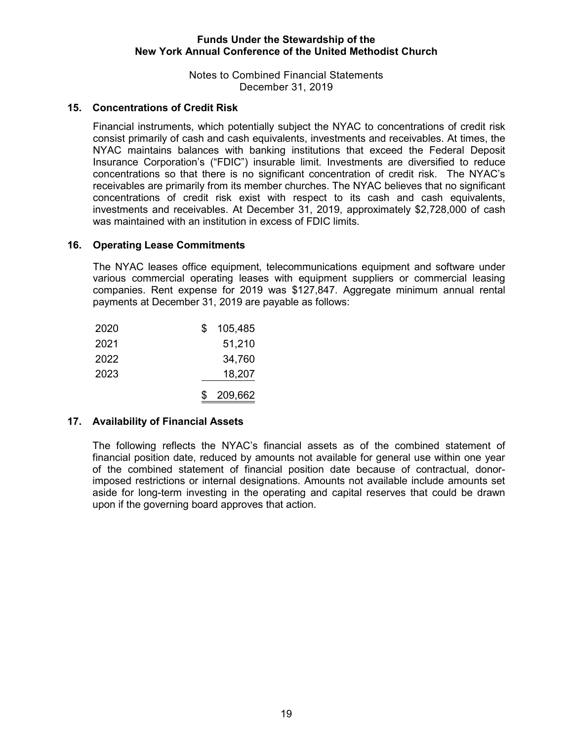Notes to Combined Financial Statements December 31, 2019

## **15. Concentrations of Credit Risk**

Financial instruments, which potentially subject the NYAC to concentrations of credit risk consist primarily of cash and cash equivalents, investments and receivables. At times, the NYAC maintains balances with banking institutions that exceed the Federal Deposit Insurance Corporation's ("FDIC") insurable limit. Investments are diversified to reduce concentrations so that there is no significant concentration of credit risk. The NYAC's receivables are primarily from its member churches. The NYAC believes that no significant concentrations of credit risk exist with respect to its cash and cash equivalents, investments and receivables. At December 31, 2019, approximately \$2,728,000 of cash was maintained with an institution in excess of FDIC limits.

#### **16. Operating Lease Commitments**

The NYAC leases office equipment, telecommunications equipment and software under various commercial operating leases with equipment suppliers or commercial leasing companies. Rent expense for 2019 was \$127,847. Aggregate minimum annual rental payments at December 31, 2019 are payable as follows:

| 2020 | S | 105,485 |
|------|---|---------|
| 2021 |   | 51,210  |
| 2022 |   | 34,760  |
| 2023 |   | 18,207  |
|      |   | 209,662 |

## **17. Availability of Financial Assets**

The following reflects the NYAC's financial assets as of the combined statement of financial position date, reduced by amounts not available for general use within one year of the combined statement of financial position date because of contractual, donorimposed restrictions or internal designations. Amounts not available include amounts set aside for long-term investing in the operating and capital reserves that could be drawn upon if the governing board approves that action.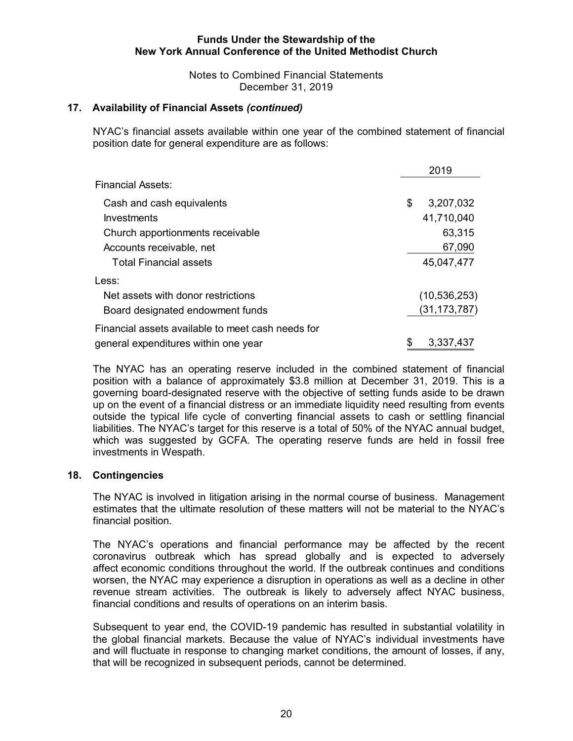Notes to Combined Financial Statements December 31, 2019

## **17. Availability of Financial Assets** *(continued)*

NYAC's financial assets available within one year of the combined statement of financial position date for general expenditure are as follows:

|                                                   | 2019            |
|---------------------------------------------------|-----------------|
| Financial Assets:                                 |                 |
| Cash and cash equivalents                         | \$<br>3,207,032 |
| Investments                                       | 41,710,040      |
| Church apportionments receivable                  | 63,315          |
| Accounts receivable, net                          | 67,090          |
| <b>Total Financial assets</b>                     | 45,047,477      |
| Less:                                             |                 |
| Net assets with donor restrictions                | (10, 536, 253)  |
| Board designated endowment funds                  | (31,173,787)    |
| Financial assets available to meet cash needs for |                 |
| general expenditures within one year              | \$<br>3,337,437 |

The NYAC has an operating reserve included in the combined statement of financial position with a balance of approximately \$3.8 million at December 31, 2019. This is a governing board-designated reserve with the objective of setting funds aside to be drawn up on the event of a financial distress or an immediate liquidity need resulting from events outside the typical life cycle of converting financial assets to cash or settling financial liabilities. The NYAC's target for this reserve is a total of 50% of the NYAC annual budget, which was suggested by GCFA. The operating reserve funds are held in fossil free investments in Wespath.

#### **18. Contingencies**

The NYAC is involved in litigation arising in the normal course of business. Management estimates that the ultimate resolution of these matters will not be material to the NYAC's financial position.

The NYAC's operations and financial performance may be affected by the recent coronavirus outbreak which has spread globally and is expected to adversely affect economic conditions throughout the world. If the outbreak continues and conditions worsen, the NYAC may experience a disruption in operations as well as a decline in other revenue stream activities. The outbreak is likely to adversely affect NYAC business, financial conditions and results of operations on an interim basis.

Subsequent to year end, the COVID-19 pandemic has resulted in substantial volatility in the global financial markets. Because the value of NYAC's individual investments have and will fluctuate in response to changing market conditions, the amount of losses, if any, that will be recognized in subsequent periods, cannot be determined.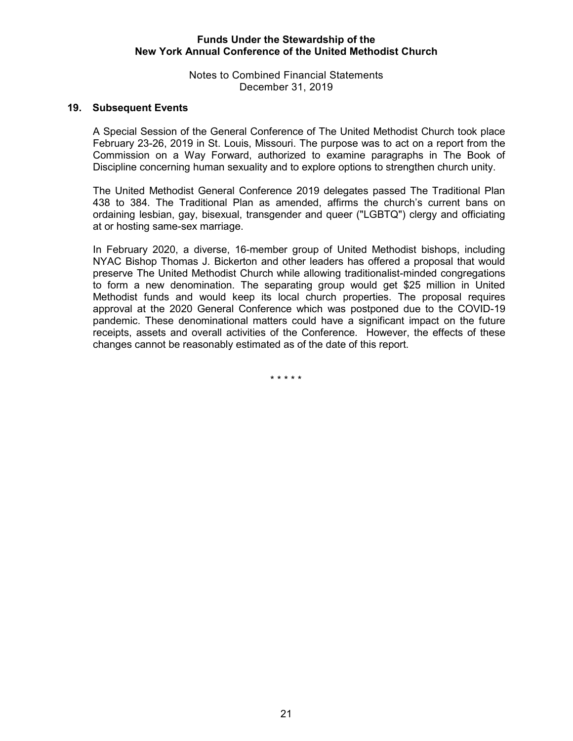Notes to Combined Financial Statements December 31, 2019

#### **19. Subsequent Events**

A Special Session of the General Conference of The United Methodist Church took place February 23-26, 2019 in St. Louis, Missouri. The purpose was to act on a report from the Commission on a Way Forward, authorized to examine paragraphs in The Book of Discipline concerning human sexuality and to explore options to strengthen church unity.

The United Methodist General Conference 2019 delegates passed The Traditional Plan 438 to 384. The Traditional Plan as amended, affirms the church's current bans on ordaining lesbian, gay, bisexual, transgender and queer ("LGBTQ") clergy and officiating at or hosting same-sex marriage.

In February 2020, a diverse, 16-member group of United Methodist bishops, including NYAC Bishop Thomas J. Bickerton and other leaders has offered a proposal that would preserve The United Methodist Church while allowing traditionalist-minded congregations to form a new denomination. The separating group would get \$25 million in United Methodist funds and would keep its local church properties. The proposal requires approval at the 2020 General Conference which was postponed due to the COVID-19 pandemic. These denominational matters could have a significant impact on the future receipts, assets and overall activities of the Conference. However, the effects of these changes cannot be reasonably estimated as of the date of this report.

\* \* \* \* \*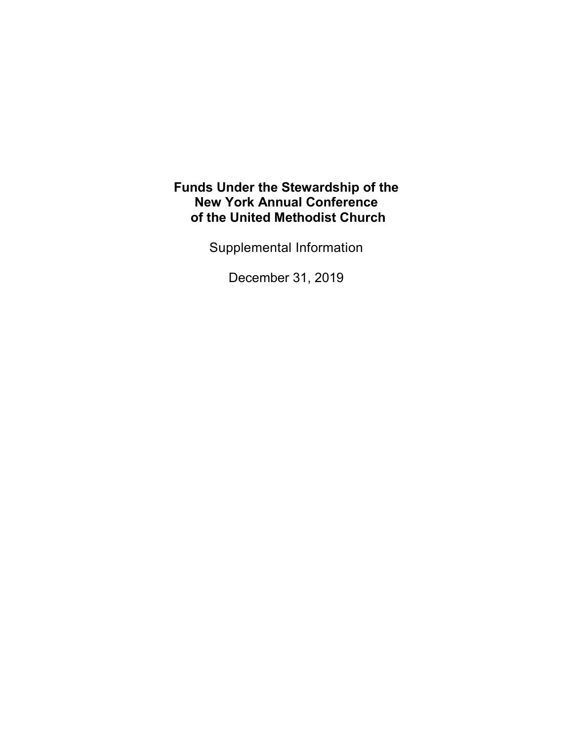Supplemental Information

December 31, 2019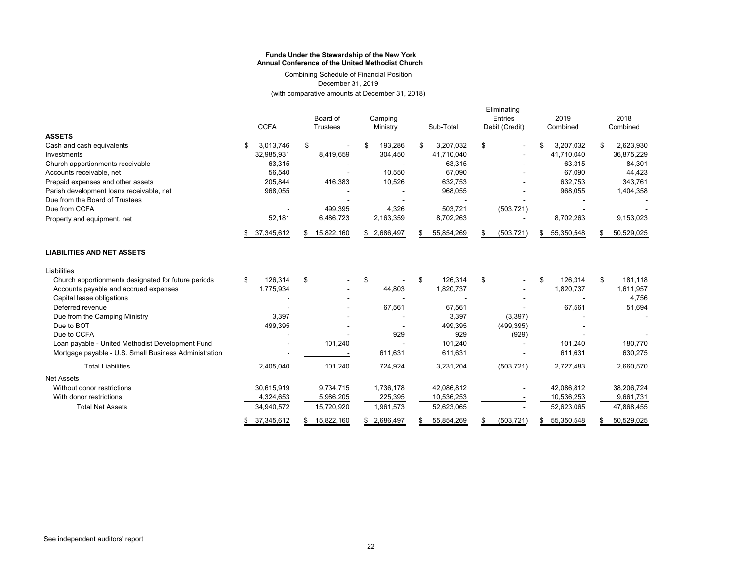Combining Schedule of Financial Position December 31, 2019 (with comparative amounts at December 31, 2018)

|                                                       |                  |                     |                  |    |              |    | Eliminating |      |                |                  |  |          |            |
|-------------------------------------------------------|------------------|---------------------|------------------|----|--------------|----|-------------|------|----------------|------------------|--|----------|------------|
|                                                       |                  | Board of<br>Camping |                  |    |              |    | Entries     | 2019 |                | 2018             |  |          |            |
|                                                       | <b>CCFA</b>      |                     | Trustees         |    | Ministry     |    | Sub-Total   |      | Debit (Credit) | Combined         |  | Combined |            |
| <b>ASSETS</b>                                         |                  |                     |                  |    |              |    |             |      |                |                  |  |          |            |
| Cash and cash equivalents                             | 3,013,746        |                     | \$               |    | 193,286      | \$ | 3,207,032   | \$   |                | 3,207,032<br>\$  |  | \$       | 2,623,930  |
| Investments                                           | 32,985,931       |                     | 8,419,659        |    | 304,450      |    | 41,710,040  |      |                | 41,710,040       |  |          | 36,875,229 |
| Church apportionments receivable                      | 63,315           |                     |                  |    |              |    | 63,315      |      |                | 63,315           |  |          | 84,301     |
| Accounts receivable, net                              | 56,540           |                     |                  |    | 10,550       |    | 67,090      |      |                | 67,090           |  |          | 44,423     |
| Prepaid expenses and other assets                     | 205,844          |                     | 416,383          |    | 10,526       |    | 632,753     |      |                | 632,753          |  |          | 343,761    |
| Parish development loans receivable, net              | 968,055          |                     |                  |    |              |    | 968,055     |      |                | 968,055          |  |          | 1,404,358  |
| Due from the Board of Trustees                        |                  |                     |                  |    |              |    |             |      |                |                  |  |          |            |
| Due from CCFA                                         |                  |                     | 499,395          |    | 4,326        |    | 503,721     |      | (503, 721)     |                  |  |          |            |
| Property and equipment, net                           | 52,181           |                     | 6,486,723        |    | 2,163,359    |    | 8,702,263   |      |                | 8,702,263        |  |          | 9,153,023  |
|                                                       | 37,345,612       |                     | 15,822,160       |    | \$ 2,686,497 |    | 55,854,269  | S    | (503, 721)     | 55,350,548<br>\$ |  |          | 50,529,025 |
| <b>LIABILITIES AND NET ASSETS</b>                     |                  |                     |                  |    |              |    |             |      |                |                  |  |          |            |
| Liabilities                                           |                  |                     |                  |    |              |    |             |      |                |                  |  |          |            |
| Church apportionments designated for future periods   | 126,314<br>\$    |                     | \$               | \$ |              | \$ | 126,314     | \$   |                | 126,314<br>\$    |  | \$       | 181,118    |
| Accounts payable and accrued expenses                 | 1,775,934        |                     |                  |    | 44,803       |    | 1,820,737   |      |                | 1,820,737        |  |          | 1,611,957  |
| Capital lease obligations                             |                  |                     |                  |    |              |    |             |      |                |                  |  |          | 4,756      |
| Deferred revenue                                      |                  |                     |                  |    | 67,561       |    | 67,561      |      |                | 67,561           |  |          | 51,694     |
| Due from the Camping Ministry                         |                  | 3.397               |                  |    |              |    | 3,397       |      | (3, 397)       |                  |  |          |            |
| Due to BOT                                            | 499,395          |                     |                  |    |              |    | 499,395     |      | (499, 395)     |                  |  |          |            |
| Due to CCFA                                           |                  |                     |                  |    | 929          |    | 929         |      | (929)          |                  |  |          |            |
| Loan payable - United Methodist Development Fund      |                  |                     | 101,240          |    |              |    | 101,240     |      |                | 101,240          |  |          | 180,770    |
| Mortgage payable - U.S. Small Business Administration |                  |                     |                  |    | 611,631      |    | 611,631     |      |                | 611,631          |  |          | 630,275    |
| <b>Total Liabilities</b>                              | 2,405,040        |                     | 101,240          |    | 724,924      |    | 3,231,204   |      | (503, 721)     | 2,727,483        |  |          | 2,660,570  |
| <b>Net Assets</b>                                     |                  |                     |                  |    |              |    |             |      |                |                  |  |          |            |
| Without donor restrictions                            | 30,615,919       |                     | 9,734,715        |    | 1,736,178    |    | 42,086,812  |      |                | 42,086,812       |  |          | 38,206,724 |
| With donor restrictions                               | 4,324,653        |                     | 5,986,205        |    | 225,395      |    | 10,536,253  |      |                | 10,536,253       |  |          | 9,661,731  |
| <b>Total Net Assets</b>                               | 34,940,572       |                     | 15,720,920       |    | 1,961,573    |    | 52,623,065  |      |                | 52,623,065       |  |          | 47,868,455 |
|                                                       | 37,345,612<br>\$ |                     | 15,822,160<br>\$ |    | \$ 2,686,497 |    | 55,854,269  | \$   | (503, 721)     | 55,350,548<br>\$ |  | \$       | 50,529,025 |